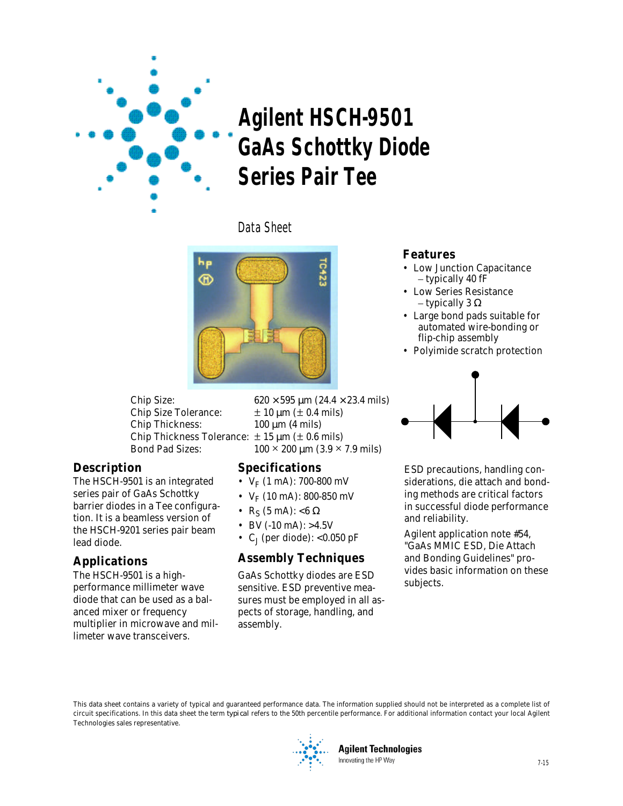

# **Agilent HSCH-9501 GaAs Schottky Diode Series Pair Tee**

Data Sheet



Chip Size Tolerance:  $\pm 10 \mu m (\pm 0.4 \text{ mils})$ Chip Thickness: 100 μm (4 mils) Chip Thickness Tolerance:  $\pm$  15  $\mu$ m ( $\pm$  0.6 mils)

#### **Description**

The HSCH-9501 is an integrated series pair of GaAs Schottky barrier diodes in a Tee configuration. It is a beamless version of the HSCH-9201 series pair beam lead diode.

# **Applications**

The HSCH-9501 is a highperformance millimeter wave diode that can be used as a balanced mixer or frequency multiplier in microwave and millimeter wave transceivers.

Chip Size: 620  $\times$  595  $\mu$ m (24.4  $\times$  23.4 mils) Bond Pad Sizes:  $100 \times 200 \mu m$  (3.9  $\times$  7.9 mils)

## **Specifications**

- $V_F$  (1 mA): 700-800 mV
- $V_F$  (10 mA): 800-850 mV
- R<sub>S</sub> (5 mA): <6  $\Omega$
- BV (-10 mA):  $>4.5V$
- C<sub>1</sub> (per diode): < $0.050$  pF

## **Assembly Techniques**

GaAs Schottky diodes are ESD sensitive. ESD preventive measures must be employed in all aspects of storage, handling, and assembly.

#### **Features**

- Low Junction Capacitance – typically 40 fF
- Low Series Resistance – typically 3  $\Omega$
- Large bond pads suitable for automated wire-bonding or flip-chip assembly
- Polyimide scratch protection



ESD precautions, handling considerations, die attach and bonding methods are critical factors in successful diode performance and reliability.

Agilent application note #54, "GaAs MMIC ESD, Die Attach and Bonding Guidelines" provides basic information on these subjects.

This data sheet contains a variety of typical and guaranteed performance data. The information supplied should not be interpreted as a complete list of circuit specifications. In this data sheet the term *typical* refers to the 50th percentile performance. For additional information contact your local Agilent Technologies sales representative.



**Agilent Technologies** Innovating the HP Way